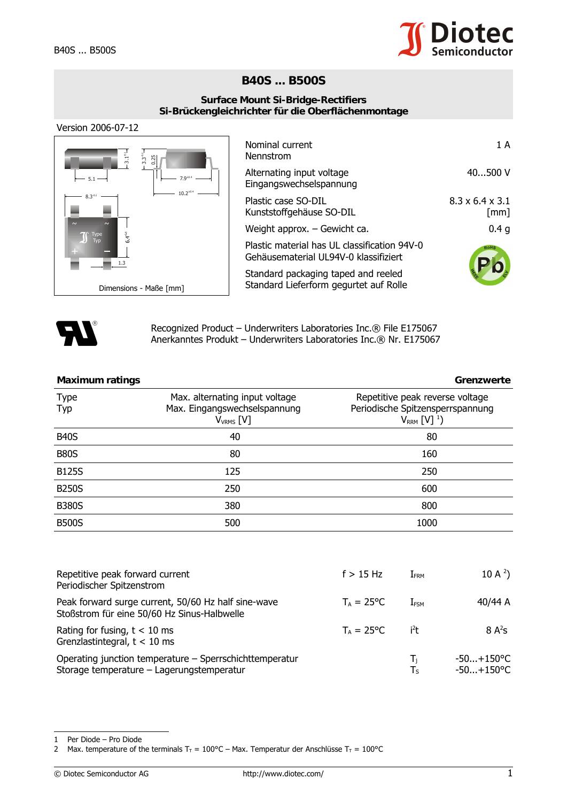

1 A

## **B40S ... B500S**

## **Surface Mount Si-Bridge-Rectifiers Si-Brückengleichrichter für die Oberflächenmontage**

Version 2006-07-12





|                                                                  | $-3.3^{\circ.1}$<br>0.25                                                                                                           | Nennstrom                                                                                                                              |                     |                                                                                               |                                     |  |
|------------------------------------------------------------------|------------------------------------------------------------------------------------------------------------------------------------|----------------------------------------------------------------------------------------------------------------------------------------|---------------------|-----------------------------------------------------------------------------------------------|-------------------------------------|--|
| 5.1                                                              | $7.9^{*0.4}$                                                                                                                       | Alternating input voltage<br>Eingangswechselspannung<br>Plastic case SO-DIL<br>Kunststoffgehäuse SO-DIL                                |                     | 40500 V                                                                                       |                                     |  |
| $8.3 - 0.1$                                                      | $10.2^{\scriptscriptstyle \pm 0.4}$                                                                                                |                                                                                                                                        |                     |                                                                                               | $8.3 \times 6.4 \times 3.1$<br>[mm] |  |
| $\sim$                                                           |                                                                                                                                    | Weight approx. - Gewicht ca.                                                                                                           |                     | 0.4 <sub>g</sub>                                                                              |                                     |  |
| -<br>64<br>Type<br>Typ<br>1.3                                    |                                                                                                                                    | Plastic material has UL classification 94V-0<br>Gehäusematerial UL94V-0 klassifiziert                                                  |                     |                                                                                               |                                     |  |
| Dimensions - Maße [mm]                                           |                                                                                                                                    | Standard packaging taped and reeled<br>Standard Lieferform gegurtet auf Rolle                                                          |                     |                                                                                               |                                     |  |
|                                                                  |                                                                                                                                    | Recognized Product - Underwriters Laboratories Inc.® File E175067<br>Anerkanntes Produkt - Underwriters Laboratories Inc.® Nr. E175067 |                     |                                                                                               |                                     |  |
| <b>Maximum ratings</b>                                           |                                                                                                                                    |                                                                                                                                        |                     |                                                                                               | Grenzwerte                          |  |
| <b>Type</b><br>Typ                                               | Max. alternating input voltage<br>Max. Eingangswechselspannung<br>V <sub>VRMS</sub> [V]                                            |                                                                                                                                        |                     | Repetitive peak reverse voltage<br>Periodische Spitzensperrspannung<br>$V_{RRM}$ [V] $^{1}$ ) |                                     |  |
| <b>B40S</b>                                                      | 40                                                                                                                                 |                                                                                                                                        |                     | 80                                                                                            |                                     |  |
| <b>B80S</b>                                                      | 80                                                                                                                                 |                                                                                                                                        |                     | 160                                                                                           |                                     |  |
| <b>B125S</b>                                                     | 125                                                                                                                                |                                                                                                                                        |                     | 250                                                                                           |                                     |  |
| <b>B250S</b>                                                     | 250                                                                                                                                |                                                                                                                                        |                     | 600                                                                                           |                                     |  |
| <b>B380S</b>                                                     | 380                                                                                                                                |                                                                                                                                        |                     | 800                                                                                           |                                     |  |
| <b>B500S</b>                                                     | 500                                                                                                                                |                                                                                                                                        |                     | 1000                                                                                          |                                     |  |
| Repetitive peak forward current                                  |                                                                                                                                    |                                                                                                                                        | $f > 15$ Hz         | I <sub>FRM</sub>                                                                              | 10 A $^{2}$ )                       |  |
| Periodischer Spitzenstrom                                        | Peak forward surge current, 50/60 Hz half sine-wave<br>Stoßstrom für eine 50/60 Hz Sinus-Halbwelle                                 |                                                                                                                                        | $T_A = 25^{\circ}C$ | $I_{FSM}$                                                                                     | 40/44A                              |  |
| Rating for fusing, $t < 10$ ms<br>Grenzlastintegral, $t < 10$ ms |                                                                                                                                    |                                                                                                                                        | $T_A = 25$ °C       | $i^2t$                                                                                        | $8A^2s$                             |  |
|                                                                  | Operating junction temperature - Sperrschichttemperatur<br>Storage temperature - Lagerungstemperatur                               |                                                                                                                                        |                     | $T_{\rm i}$<br>$T_S$                                                                          | $-50+150$ °C<br>$-50+150$ °C        |  |
| Per Diode - Pro Diode<br>1<br>2<br>© Diotec Semiconductor AG     | Max. temperature of the terminals $T_T = 100^{\circ}\text{C} - \text{Max}$ . Temperatur der Anschlüsse $T_T = 100^{\circ}\text{C}$ | http://www.diotec.com/                                                                                                                 |                     |                                                                                               | 1                                   |  |
|                                                                  |                                                                                                                                    |                                                                                                                                        |                     |                                                                                               |                                     |  |

<sup>1</sup> Per Diode – Pro Diode